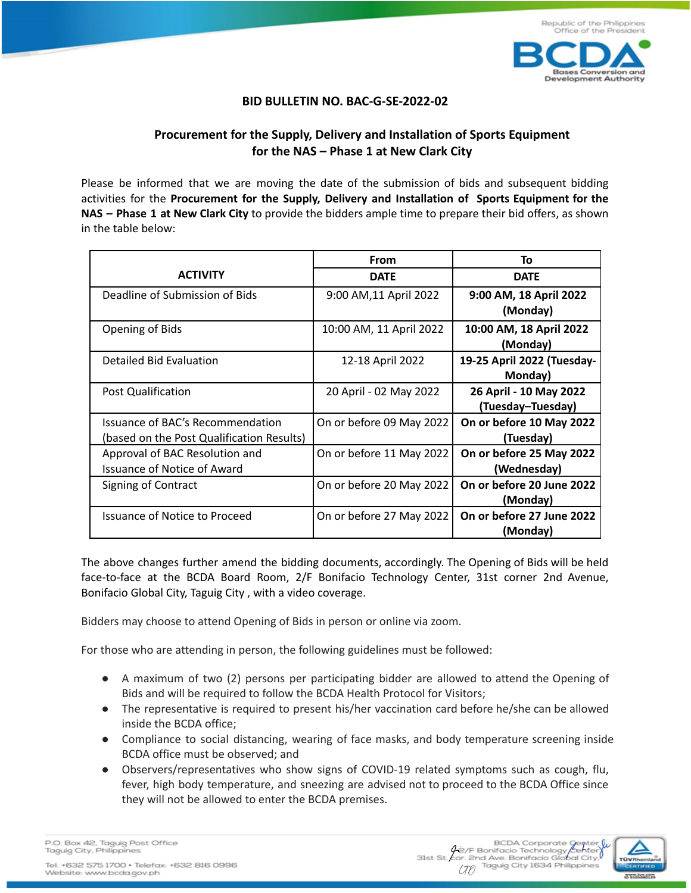

## **BID BULLETIN NO. BAC-G-SE-2022-02**

## **Procurement for the Supply, Delivery and Installation of Sports Equipment for the NAS – Phase 1 at New Clark City**

Please be informed that we are moving the date of the submission of bids and subsequent bidding activities for the **Procurement for the Supply, Delivery and Installation of Sports Equipment for the NAS – Phase 1 at New Clark City** to provide the bidders ample time to prepare their bid offers, as shown in the table below:

|                                                                               | From                     | To                                          |
|-------------------------------------------------------------------------------|--------------------------|---------------------------------------------|
| <b>ACTIVITY</b>                                                               | <b>DATE</b>              | <b>DATE</b>                                 |
| Deadline of Submission of Bids                                                | 9:00 AM, 11 April 2022   | 9:00 AM, 18 April 2022<br>(Monday)          |
| Opening of Bids                                                               | 10:00 AM, 11 April 2022  | 10:00 AM, 18 April 2022<br>(Monday)         |
| Detailed Bid Evaluation                                                       | 12-18 April 2022         | 19-25 April 2022 (Tuesday-<br>Monday)       |
| Post Qualification                                                            | 20 April - 02 May 2022   | 26 April - 10 May 2022<br>(Tuesday-Tuesday) |
| Issuance of BAC's Recommendation<br>(based on the Post Qualification Results) | On or before 09 May 2022 | On or before 10 May 2022<br>(Tuesday)       |
| Approval of BAC Resolution and<br>Issuance of Notice of Award                 | On or before 11 May 2022 | On or before 25 May 2022<br>(Wednesday)     |
| Signing of Contract                                                           | On or before 20 May 2022 | On or before 20 June 2022<br>(Monday)       |
| Issuance of Notice to Proceed                                                 | On or before 27 May 2022 | On or before 27 June 2022<br>(Monday)       |

The above changes further amend the bidding documents, accordingly. The Opening of Bids will be held face-to-face at the BCDA Board Room, 2/F Bonifacio Technology Center, 31st corner 2nd Avenue, Bonifacio Global City, Taguig City , with a video coverage.

Bidders may choose to attend Opening of Bids in person or online via zoom.

For those who are attending in person, the following guidelines must be followed:

- A maximum of two (2) persons per participating bidder are allowed to attend the Opening of Bids and will be required to follow the BCDA Health Protocol for Visitors;
- The representative is required to present his/her vaccination card before he/she can be allowed inside the BCDA office;
- Compliance to social distancing, wearing of face masks, and body temperature screening inside BCDA office must be observed; and
- Observers/representatives who show signs of COVID-19 related symptoms such as cough, flu, fever, high body temperature, and sneezing are advised not to proceed to the BCDA Office since they will not be allowed to enter the BCDA premises.